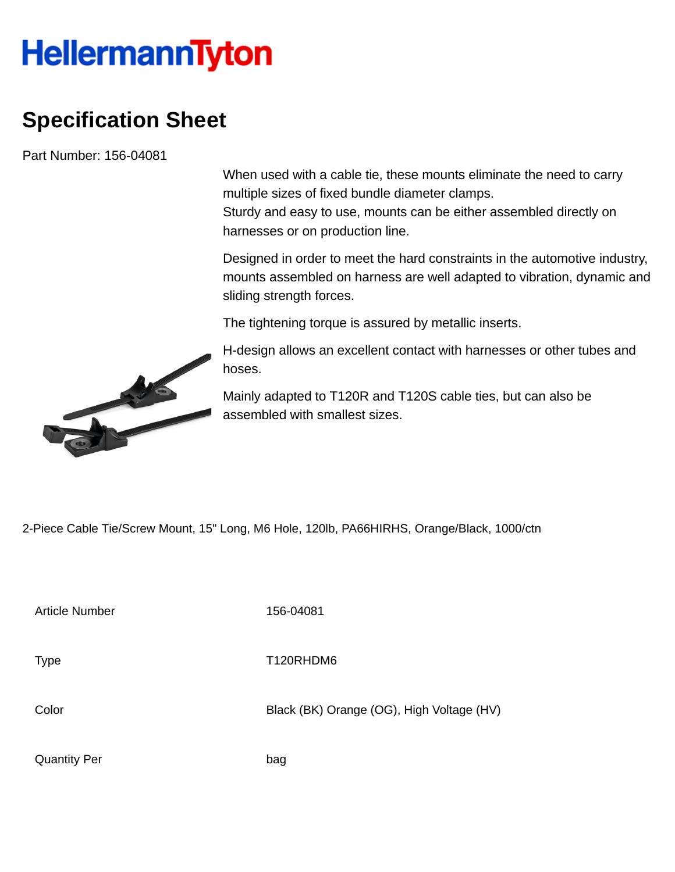## **HellermannTyton**

## **Specification Sheet**

Part Number: 156-04081

When used with a cable tie, these mounts eliminate the need to carry multiple sizes of fixed bundle diameter clamps.

Sturdy and easy to use, mounts can be either assembled directly on harnesses or on production line.

Designed in order to meet the hard constraints in the automotive industry, mounts assembled on harness are well adapted to vibration, dynamic and sliding strength forces.

The tightening torque is assured by metallic inserts.

H-design allows an excellent contact with harnesses or other tubes and hoses.

Mainly adapted to T120R and T120S cable ties, but can also be assembled with smallest sizes.

2-Piece Cable Tie/Screw Mount, 15" Long, M6 Hole, 120lb, PA66HIRHS, Orange/Black, 1000/ctn

Article Number 156-04081

Type Type T120RHDM6

Color Black (BK) Orange (OG), High Voltage (HV)

Quantity Per bag

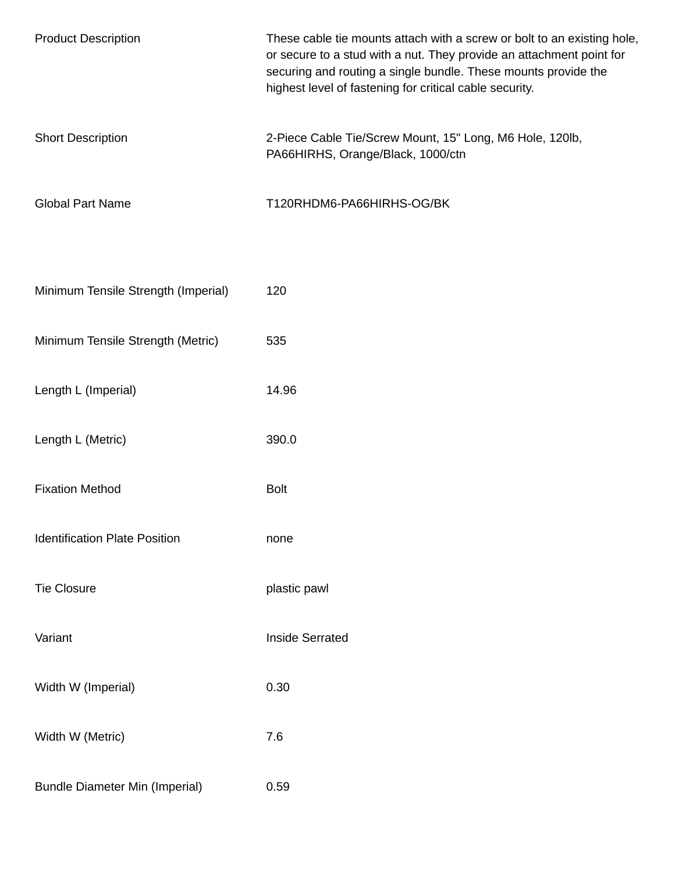| <b>Product Description</b>            | These cable tie mounts attach with a screw or bolt to an existing hole,<br>or secure to a stud with a nut. They provide an attachment point for<br>securing and routing a single bundle. These mounts provide the<br>highest level of fastening for critical cable security. |
|---------------------------------------|------------------------------------------------------------------------------------------------------------------------------------------------------------------------------------------------------------------------------------------------------------------------------|
| <b>Short Description</b>              | 2-Piece Cable Tie/Screw Mount, 15" Long, M6 Hole, 120lb,<br>PA66HIRHS, Orange/Black, 1000/ctn                                                                                                                                                                                |
| <b>Global Part Name</b>               | T120RHDM6-PA66HIRHS-OG/BK                                                                                                                                                                                                                                                    |
| Minimum Tensile Strength (Imperial)   | 120                                                                                                                                                                                                                                                                          |
| Minimum Tensile Strength (Metric)     | 535                                                                                                                                                                                                                                                                          |
| Length L (Imperial)                   | 14.96                                                                                                                                                                                                                                                                        |
| Length L (Metric)                     | 390.0                                                                                                                                                                                                                                                                        |
| <b>Fixation Method</b>                | <b>Bolt</b>                                                                                                                                                                                                                                                                  |
| <b>Identification Plate Position</b>  | none                                                                                                                                                                                                                                                                         |
| <b>Tie Closure</b>                    | plastic pawl                                                                                                                                                                                                                                                                 |
| Variant                               | <b>Inside Serrated</b>                                                                                                                                                                                                                                                       |
| Width W (Imperial)                    | 0.30                                                                                                                                                                                                                                                                         |
| Width W (Metric)                      | 7.6                                                                                                                                                                                                                                                                          |
| <b>Bundle Diameter Min (Imperial)</b> | 0.59                                                                                                                                                                                                                                                                         |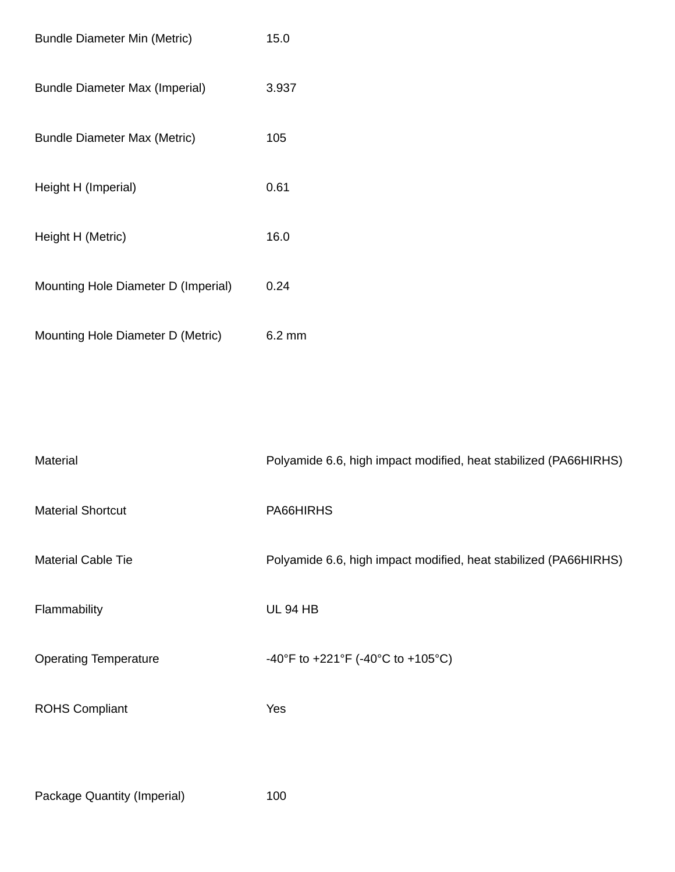| <b>Bundle Diameter Min (Metric)</b>   | 15.0             |
|---------------------------------------|------------------|
| <b>Bundle Diameter Max (Imperial)</b> | 3.937            |
| <b>Bundle Diameter Max (Metric)</b>   | 105              |
| Height H (Imperial)                   | 0.61             |
| Height H (Metric)                     | 16.0             |
| Mounting Hole Diameter D (Imperial)   | 0.24             |
| Mounting Hole Diameter D (Metric)     | $6.2 \text{ mm}$ |

| Material                     | Polyamide 6.6, high impact modified, heat stabilized (PA66HIRHS) |
|------------------------------|------------------------------------------------------------------|
| <b>Material Shortcut</b>     | PA66HIRHS                                                        |
| <b>Material Cable Tie</b>    | Polyamide 6.6, high impact modified, heat stabilized (PA66HIRHS) |
| Flammability                 | <b>UL 94 HB</b>                                                  |
| <b>Operating Temperature</b> | -40°F to +221°F (-40°C to +105°C)                                |
| <b>ROHS Compliant</b>        | Yes                                                              |
|                              |                                                                  |

Package Quantity (Imperial) 100